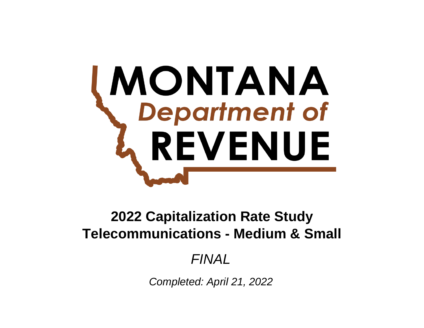# **MONTANA**<br>Department of REVENUE

# **Telecommunications - Medium & Small 2022 Capitalization Rate Study**

# *FINAL*

*Completed: April 21, 2022*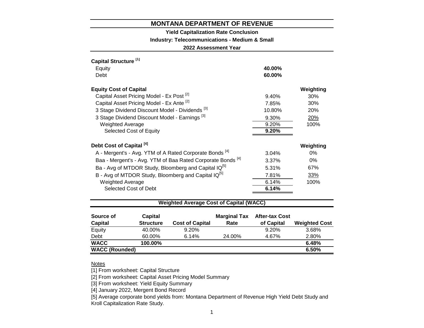**Yield Capitalization Rate Conclusion**

**Industry: Telecommunications - Medium & Small**

**2022 Assessment Year**

| Capital Structure <sup>[1]</sup>                                       |        |            |
|------------------------------------------------------------------------|--------|------------|
| Equity                                                                 | 40.00% |            |
| Debt                                                                   | 60.00% |            |
| <b>Equity Cost of Capital</b>                                          |        | Weighting  |
| Capital Asset Pricing Model - Ex Post <sup>[2]</sup>                   | 9.40%  | 30%        |
| Capital Asset Pricing Model - Ex Ante [2]                              | 7.85%  | 30%        |
| 3 Stage Dividend Discount Model - Dividends <sup>[3]</sup>             | 10.80% | <b>20%</b> |
| 3 Stage Dividend Discount Model - Earnings <sup>[3]</sup>              | 9.30%  | 20%        |
| <b>Weighted Average</b>                                                | 9.20%  | 100%       |
| Selected Cost of Equity                                                | 9.20%  |            |
| Debt Cost of Capital <sup>[4]</sup>                                    |        | Weighting  |
| A - Mergent's - Avg. YTM of A Rated Corporate Bonds <sup>[4]</sup>     | 3.04%  | $0\%$      |
| Baa - Mergent's - Avg. YTM of Baa Rated Corporate Bonds <sup>[4]</sup> | 3.37%  | $0\%$      |
| Ba - Avg of MTDOR Study, Bloomberg and Capital IQ <sup>[5]</sup>       | 5.31%  | 67%        |
| B - Avg of MTDOR Study, Bloomberg and Capital IQ <sup>[5]</sup>        | 7.81%  | 33%        |
| <b>Weighted Average</b>                                                | 6.14%  | 100%       |
| Selected Cost of Debt                                                  | 6.14%  |            |

# **Weighted Average Cost of Capital (WACC)**

| Source of<br><b>Capital</b> | <b>Capital</b><br><b>Structure</b> | <b>Cost of Capital</b> | <b>Marginal Tax</b><br>Rate | <b>After-tax Cost</b><br>of Capital | <b>Weighted Cost</b> |
|-----------------------------|------------------------------------|------------------------|-----------------------------|-------------------------------------|----------------------|
| Equity                      | 40.00%                             | 9.20%                  |                             | 9.20%                               | 3.68%                |
| Debt                        | 60.00%                             | 6.14%                  | 24.00%                      | 4.67%                               | 2.80%                |
| <b>WACC</b>                 | 100.00%                            |                        |                             |                                     | 6.48%                |
| <b>WACC (Rounded)</b>       |                                    |                        |                             |                                     | 6.50%                |

## **Notes**

[1] From worksheet: Capital Structure

[2] From worksheet: Capital Asset Pricing Model Summary

[3] From worksheet: Yield Equity Summary

[4] January 2022, Mergent Bond Record

[5] Average corporate bond yields from: Montana Department of Revenue High Yield Debt Study and Kroll Capitalization Rate Study.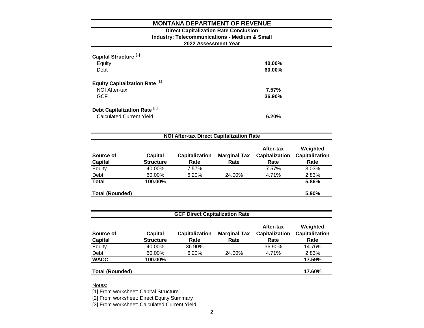# **2022 Assessment Year Industry: Telecommunications - Medium & Small Direct Capitalization Rate Conclusion**

| Capital Structure <sup>[1]</sup><br>Equity<br>Debt                         | 40.00%<br>60.00% |
|----------------------------------------------------------------------------|------------------|
| <b>Equity Capitalization Rate [2]</b><br>NOI After-tax<br><b>GCF</b>       | 7.57%<br>36.90%  |
| Debt Capitalization Rate <sup>[3]</sup><br><b>Calculated Current Yield</b> | 6.20%            |

| Source of<br><b>Capital</b> | Capital<br><b>Structure</b> | <b>Capitalization</b><br>Rate | <b>Marginal Tax</b><br>Rate | After-tax<br><b>Capitalization</b><br>Rate | Weighted<br>Capitalization<br>Rate |
|-----------------------------|-----------------------------|-------------------------------|-----------------------------|--------------------------------------------|------------------------------------|
| Equity                      | 40.00%                      | 7.57%                         |                             | 7.57%                                      | 3.03%                              |
| Debt                        | 60.00%                      | 6.20%                         | 24.00%                      | 4.71%                                      | 2.83%                              |
| <b>Total</b>                | 100.00%                     |                               |                             |                                            | 5.86%                              |

| <b>GCF Direct Capitalization Rate</b> |                             |                               |                             |                                            |                                           |  |  |  |
|---------------------------------------|-----------------------------|-------------------------------|-----------------------------|--------------------------------------------|-------------------------------------------|--|--|--|
| Source of<br><b>Capital</b>           | Capital<br><b>Structure</b> | <b>Capitalization</b><br>Rate | <b>Marginal Tax</b><br>Rate | After-tax<br><b>Capitalization</b><br>Rate | Weighted<br><b>Capitalization</b><br>Rate |  |  |  |
| Equity                                | 40.00%                      | 36.90%                        |                             | 36.90%                                     | 14.76%                                    |  |  |  |
| Debt                                  | 60.00%                      | 6.20%                         | 24.00%                      | 4.71%                                      | 2.83%                                     |  |  |  |
| <b>WACC</b>                           | 100.00%                     |                               |                             |                                            | 17.59%                                    |  |  |  |
| <b>Total (Rounded)</b>                |                             |                               |                             |                                            | 17.60%                                    |  |  |  |

Notes:

[1] From worksheet: Capital Structure

[2] From worksheet: Direct Equity Summary

[3] From worksheet: Calculated Current Yield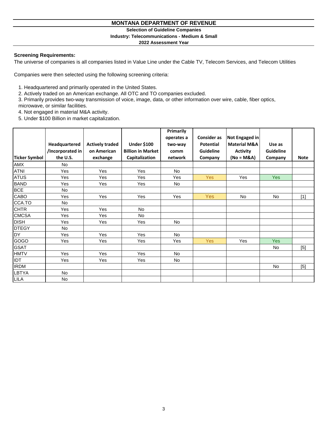**Selection of Guideline Companies**

#### **Industry: Telecommunications - Medium & Small**

**2022 Assessment Year**

#### **Screening Requirements:**

The universe of companies is all companies listed in Value Line under the Cable TV, Telecom Services, and Telecom Utilities

Companies were then selected using the following screening criteria:

1. Headquartered and primarily operated in the United States.

2. Actively traded on an American exchange. All OTC and TO companies excluded.

3. Primarily provides two-way transmission of voice, image, data, or other information over wire, cable, fiber optics,

microwave, or similar facilities.

4. Not engaged in material M&A activity.

5. Under \$100 Billion in market capitalization.

|               |                  |                        |                          | Primarily  |                    |                         |                  |             |
|---------------|------------------|------------------------|--------------------------|------------|--------------------|-------------------------|------------------|-------------|
|               |                  |                        |                          | operates a | <b>Consider as</b> | Not Engaged in          |                  |             |
|               | Headquartered    | <b>Actively traded</b> | <b>Under \$100</b>       | two-way    | <b>Potential</b>   | <b>Material M&amp;A</b> | Use as           |             |
|               | /Incorporated in | on American            | <b>Billion in Market</b> | comm       | <b>Guideline</b>   | <b>Activity</b>         | <b>Guideline</b> |             |
| Ticker Symbol | the U.S.         | exchange               | Capitalization           | network    | Company            | (No = M&A)              | Company          | <b>Note</b> |
| <b>AMX</b>    | <b>No</b>        |                        |                          |            |                    |                         |                  |             |
| <b>ATNI</b>   | Yes              | Yes                    | Yes                      | No         |                    |                         |                  |             |
| <b>ATUS</b>   | Yes              | Yes                    | Yes                      | Yes        | <b>Yes</b>         | Yes                     | <b>Yes</b>       |             |
| <b>BAND</b>   | Yes              | Yes                    | Yes                      | No         |                    |                         |                  |             |
| <b>BCE</b>    | No               |                        |                          |            |                    |                         |                  |             |
| CABO          | Yes              | Yes                    | Yes                      | Yes        | Yes                | No                      | No               | $[1]$       |
| CCA.TO        | No               |                        |                          |            |                    |                         |                  |             |
| <b>CHTR</b>   | Yes              | Yes                    | No                       |            |                    |                         |                  |             |
| <b>CMCSA</b>  | Yes              | Yes                    | <b>No</b>                |            |                    |                         |                  |             |
| <b>DISH</b>   | Yes              | Yes                    | Yes                      | No         |                    |                         |                  |             |
| <b>DTEGY</b>  | No               |                        |                          |            |                    |                         |                  |             |
| <b>DY</b>     | Yes              | Yes                    | Yes                      | <b>No</b>  |                    |                         |                  |             |
| GOGO          | Yes              | Yes                    | Yes                      | Yes        | Yes                | Yes                     | <b>Yes</b>       |             |
| <b>GSAT</b>   |                  |                        |                          |            |                    |                         | No               | $[5]$       |
| <b>HMTV</b>   | Yes              | Yes                    | Yes                      | <b>No</b>  |                    |                         |                  |             |
| IDT           | Yes              | Yes                    | Yes                      | No.        |                    |                         |                  |             |
| <b>IRDM</b>   |                  |                        |                          |            |                    |                         | No               | $[5]$       |
| LBTYA         | No               |                        |                          |            |                    |                         |                  |             |
| <b>LILA</b>   | No               |                        |                          |            |                    |                         |                  |             |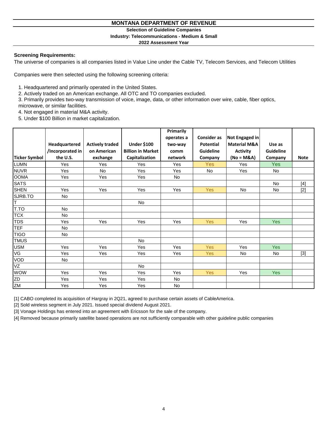**Selection of Guideline Companies**

#### **Industry: Telecommunications - Medium & Small**

**2022 Assessment Year**

## **Screening Requirements:**

The universe of companies is all companies listed in Value Line under the Cable TV, Telecom Services, and Telecom Utilities

Companies were then selected using the following screening criteria:

1. Headquartered and primarily operated in the United States.

2. Actively traded on an American exchange. All OTC and TO companies excluded.

3. Primarily provides two-way transmission of voice, image, data, or other information over wire, cable, fiber optics,

microwave, or similar facilities.

4. Not engaged in material M&A activity.

5. Under \$100 Billion in market capitalization.

|                      |                  |                        |                          | Primarily  |                    |                         |            |             |
|----------------------|------------------|------------------------|--------------------------|------------|--------------------|-------------------------|------------|-------------|
|                      |                  |                        |                          | operates a | <b>Consider as</b> | Not Engaged in          |            |             |
|                      | Headquartered    | <b>Actively traded</b> | <b>Under \$100</b>       | two-way    | <b>Potential</b>   | <b>Material M&amp;A</b> | Use as     |             |
|                      | /Incorporated in | on American            | <b>Billion in Market</b> | comm       | Guideline          | <b>Activity</b>         | Guideline  |             |
| <b>Ticker Symbol</b> | the U.S.         | exchange               | Capitalization           | network    | Company            | $(No = M&A)$            | Company    | <b>Note</b> |
| LUMN                 | Yes              | Yes                    | Yes                      | Yes        | Yes                | <b>Yes</b>              | <b>Yes</b> |             |
| <b>NUVR</b>          | Yes              | No                     | Yes                      | Yes        | No                 | Yes                     | No         |             |
| <b>OOMA</b>          | Yes              | Yes                    | Yes                      | No         |                    |                         |            |             |
| <b>SATS</b>          |                  |                        |                          |            |                    |                         | <b>No</b>  | $[4]$       |
| <b>SHEN</b>          | Yes              | Yes                    | Yes                      | Yes        | <b>Yes</b>         | <b>No</b>               | <b>No</b>  | $[2]$       |
| SJRB.TO              | No               |                        |                          |            |                    |                         |            |             |
| Iт                   |                  |                        | <b>No</b>                |            |                    |                         |            |             |
| T.TO                 | <b>No</b>        |                        |                          |            |                    |                         |            |             |
| <b>TCX</b>           | <b>No</b>        |                        |                          |            |                    |                         |            |             |
| <b>TDS</b>           | Yes              | Yes                    | Yes                      | Yes        | <b>Yes</b>         | Yes                     | <b>Yes</b> |             |
| <b>TEF</b>           | No               |                        |                          |            |                    |                         |            |             |
| <b>TIGO</b>          | No               |                        |                          |            |                    |                         |            |             |
| <b>TMUS</b>          |                  |                        | <b>No</b>                |            |                    |                         |            |             |
| <b>USM</b>           | Yes              | Yes                    | Yes                      | Yes        | <b>Yes</b>         | <b>Yes</b>              | <b>Yes</b> |             |
| VG                   | Yes              | <b>Yes</b>             | Yes                      | Yes        | <b>Yes</b>         | <b>No</b>               | <b>No</b>  | $[3]$       |
| VOD                  | No               |                        |                          |            |                    |                         |            |             |
| VZ                   |                  |                        | <b>No</b>                |            |                    |                         |            |             |
| <b>WOW</b>           | Yes              | Yes                    | Yes                      | Yes        | <b>Yes</b>         | Yes                     | Yes        |             |
| ZD                   | Yes              | Yes                    | Yes                      | No.        |                    |                         |            |             |
| ZM                   | Yes              | Yes                    | Yes                      | <b>No</b>  |                    |                         |            |             |

[1] CABO completed its acquisition of Hargray in 2Q21, agreed to purchase certain assets of CableAmerica.

[2] Sold wireless segment in July 2021. Issued special dividend August 2021.

[3] Vonage Holdings has entered into an agreement with Ericsson for the sale of the company.

[4] Removed because primarily satellite based operations are not sufficiently comparable with other guideline public companies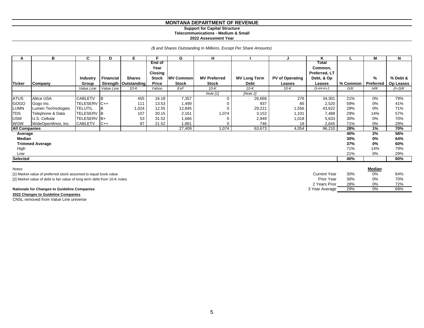#### **Support for Capital Structure Telecommunications - Medium & Small**

**2022 Assessment Year**

*(\$ and Shares Outstanding In Millions, Except Per Share Amounts)*

| A                    | В                      | C                 | D                | Е                      | E            | G                | н                   |                     |                        | Κ             |          | М         | N         |
|----------------------|------------------------|-------------------|------------------|------------------------|--------------|------------------|---------------------|---------------------|------------------------|---------------|----------|-----------|-----------|
|                      |                        |                   |                  |                        | End of       |                  |                     |                     |                        | Total         |          |           |           |
|                      |                        |                   |                  |                        | Year         |                  |                     |                     |                        | Common,       |          |           |           |
|                      |                        |                   |                  |                        | Closing      |                  |                     |                     |                        | Preferred, LT |          |           |           |
|                      |                        | Industry          | <b>Financial</b> | <b>Shares</b>          | <b>Stock</b> | <b>MV Common</b> | <b>MV Preferred</b> | <b>MV Long Term</b> | <b>PV of Operating</b> | Debt, & Op    |          | %         | % Debt &  |
| <b>Ticker</b>        | Company                | Group             |                  | Strength   Outstanding | Price        | <b>Stock</b>     | <b>Stock</b>        | Debt                | Leases                 | Leases        | % Common | Preferred | Op Leases |
|                      |                        | Value Line        | Value Line       | $10-K$                 | Yahoo        | ExF              | $10-K$              | $10-K$              | $10-K$                 | $G+H+I+J$     | G/K      | H/K       | (I+J)/K   |
|                      |                        |                   |                  |                        |              |                  | Note $[1]$          | [Note 2]            |                        |               |          |           |           |
| <b>ATUS</b>          | Altice USA             | CABLETV           | <b>IB</b>        | 455                    | 16.18        | 7,357            | 0                   | 26,668              | 276                    | 34,301        | 21%      | 0%        | 79%       |
| <b>GOGO</b>          | Gogo Inc.              | TELESERV C++      |                  | 111                    | 13.53        | 1,499            |                     | 937                 | 85                     | 2,520         | 59%      | 0%        | 41%       |
| <b>LUMN</b>          | Lumen Technologies     | TELUTIL           |                  | 1,024                  | 12.55        | 12,845           | $\mathbf 0$         | 29,221              | 1,556                  | 43,622        | 29%      | 0%        | 71%       |
| <b>TDS</b>           | Telephone & Data       | <b>TELESERV B</b> |                  | 107                    | 20.15        | 2,161            | 1,074               | 3,152               | 1,101                  | 7,488         | 29%      | 14%       | 57%       |
| <b>USM</b>           | U.S. Cellular          | TELESERV B+       |                  | 53                     | 31.52        | 1,666            | $\mathbf 0$         | 2,949               | 1,018                  | 5,633         | 30%      | 0%        | 70%       |
| <b>WOW</b>           | WideOpenWest, Inc.     | <b>CABLETV</b>    | $C++$            | 87                     | 21.52        | 1,881            | $\mathbf 0$         | 746                 | 19                     | 2,645         | 71%      | 0%        | 29%       |
| <b>All Companies</b> |                        |                   |                  |                        |              | 27,409           | 1,074               | 63,673              | 4,054                  | 96,210        | 28%      | 1%        | 70%       |
| Average              |                        |                   |                  |                        |              |                  |                     |                     |                        |               | 40%      | 2%        | 58%       |
| Median               |                        |                   |                  |                        |              |                  |                     |                     |                        |               | 30%      | 0%        | 64%       |
|                      | <b>Trimmed Average</b> |                   |                  |                        |              |                  |                     |                     |                        |               | 37%      | 0%        | 60%       |
| High                 |                        |                   |                  |                        |              |                  |                     |                     |                        |               | 71%      | 14%       | 79%       |
| Low                  |                        |                   |                  |                        |              |                  |                     |                     |                        |               | 21%      | 0%        | 29%       |
| Selected             |                        |                   |                  |                        |              |                  |                     |                     |                        |               | 40%      |           | 60%       |
|                      |                        |                   |                  |                        |              |                  |                     |                     |                        |               |          |           |           |

| Notes:                                                                   |                |     | Median |     |
|--------------------------------------------------------------------------|----------------|-----|--------|-----|
| [1] Market value of preferred stock assumed to equal book value          | Current Year   | 30% | 0%     | 64% |
| [2] Market value of debt is fair value of long term debt from 10-K notes | Prior Year     | 30% | 0%     | 70% |
|                                                                          | 2 Years Prior  | 28% | 0%     | 72% |
| <b>Rationale for Changes to Guideline Companies</b>                      | 3 Year Average | 29% | 0%     | 69% |
| 2022 Changes to Guideline Companies                                      |                |     |        |     |

CNSL removed from Value Line universe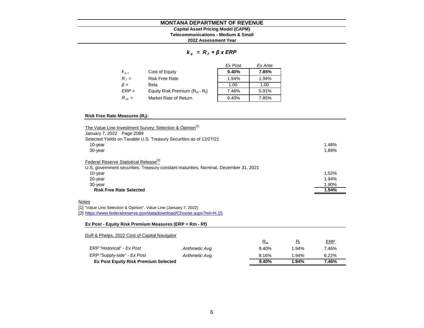## **Capital Asset Pricing Model (CAPM)**

**Telecommunications - Medium & Small**

**2022 Assessment Year**

#### *k e = R <sup>f</sup> + β x ERP*

|           |                                   | Ex Post | Ex Ante |
|-----------|-----------------------------------|---------|---------|
| $K_{e}$   | Cost of Equity                    | 9.40%   | 7.85%   |
| $R_f =$   | <b>Risk Free Rate</b>             | 1.94%   | 1.94%   |
| $\beta =$ | Beta                              | 1.00    | 1.00    |
| $ERP =$   | Equity Risk Premium $(R_m - R_i)$ | 7.46%   | 5.91%   |
| $R_m =$   | Market Rate of Return             | 9.40%   | 7.85%   |

#### **Risk Free Rate Measures (R<sup>f</sup> ):**

| The Value Line Investment Survey: Selection & Opinion <sup>[1]</sup><br>January 7, 2022 Page 2089                              |                 |       |             |       |  |  |  |
|--------------------------------------------------------------------------------------------------------------------------------|-----------------|-------|-------------|-------|--|--|--|
| Selected Yields on Taxable U.S. Treasury Securities as of 12/27/21                                                             |                 |       |             |       |  |  |  |
| 10-year                                                                                                                        |                 |       |             | 1.48% |  |  |  |
| 30-year                                                                                                                        |                 |       |             | 1.88% |  |  |  |
| Federal Reserve Statistical Release <sup>[2]</sup>                                                                             |                 |       |             |       |  |  |  |
| U.S. government securities, Treasury constant maturities, Nominal, December 31, 2021                                           |                 |       |             |       |  |  |  |
| 10-year                                                                                                                        |                 |       |             | 1.52% |  |  |  |
| 20-year                                                                                                                        |                 |       |             | 1.94% |  |  |  |
| 30-year                                                                                                                        |                 |       |             | 1.90% |  |  |  |
| <b>Risk Free Rate Selected</b>                                                                                                 |                 |       |             |       |  |  |  |
| Notes<br>[1] "Value Line Selection & Opinion", Value Line (January 7, 2022)                                                    |                 |       |             |       |  |  |  |
| [2] https://www.federalreserve.gov/datadownload/Choose.aspx?rel=H.15<br>Ex Post - Equity Risk Premium Measures (ERP = Rm - Rf) |                 |       |             |       |  |  |  |
| Duff & Phelps, 2022 Cost of Capital Navigator                                                                                  |                 |       |             |       |  |  |  |
|                                                                                                                                |                 | $R_m$ | $R_{\rm f}$ | ERP   |  |  |  |
| ERP "Historical" - Ex Post                                                                                                     | Arithmetic Avg. | 9.40% | 1.94%       | 7.46% |  |  |  |
| ERP "Supply-side" - Ex Post                                                                                                    | Arithmetic Avg. | 8.16% | 1.94%       | 6.22% |  |  |  |
| <b>Ex Post Equity Risk Premium Selected</b>                                                                                    |                 | 9.40% | 1.94%       | 7.46% |  |  |  |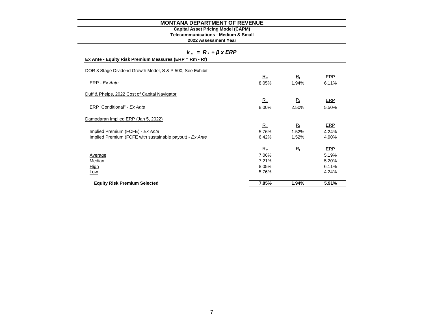#### **Capital Asset Pricing Model (CAPM)**

**Telecommunications - Medium & Small**

| $k_e = R_i + \beta x ERP$                                 |       |             |            |
|-----------------------------------------------------------|-------|-------------|------------|
| Ex Ante - Equity Risk Premium Measures (ERP = Rm - Rf)    |       |             |            |
| DOR 3 Stage Dividend Growth Model, S & P 500, See Exhibit |       |             |            |
|                                                           | $R_m$ | $R_{\rm f}$ | ERP        |
| ERP - Ex Ante                                             | 8.05% | 1.94%       | 6.11%      |
| Duff & Phelps, 2022 Cost of Capital Navigator             |       |             |            |
|                                                           | $R_m$ | $R_{\rm f}$ | <b>ERP</b> |
| ERP "Conditional" - Ex Ante                               | 8.00% | 2.50%       | 5.50%      |
| Damodaran Implied ERP (Jan 5, 2022)                       |       |             |            |
|                                                           | $R_m$ | $R_{\rm f}$ | ERP        |
| Implied Premium (FCFE) - Ex Ante                          | 5.76% | 1.52%       | 4.24%      |
| Implied Premium (FCFE with sustainable payout) - Ex Ante  | 6.42% | 1.52%       | 4.90%      |
|                                                           | $R_m$ | $R_{\rm f}$ | ERP        |
| Average                                                   | 7.06% |             | 5.19%      |
| Median                                                    | 7.21% |             | 5.20%      |
| <u>High</u>                                               | 8.05% |             | 6.11%      |
| Low                                                       | 5.76% |             | 4.24%      |
| <b>Equity Risk Premium Selected</b>                       | 7.85% | 1.94%       | 5.91%      |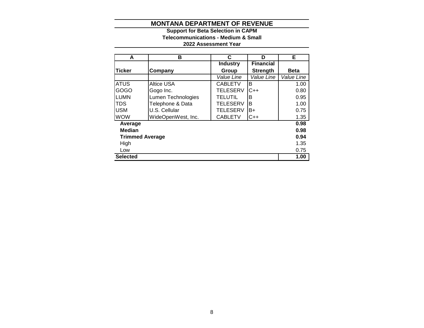# **2022 Assessment Year Telecommunications - Medium & Small Support for Beta Selection in CAPM**

| A                      | в                  | C               | D                | Е           |
|------------------------|--------------------|-----------------|------------------|-------------|
|                        |                    | <b>Industry</b> | <b>Financial</b> |             |
| <b>Ticker</b>          | Company            | Group           | <b>Strength</b>  | <b>Beta</b> |
|                        |                    | Value Line      | Value Line       | Value Line  |
| <b>ATUS</b>            | Altice USA         | <b>CABLETV</b>  | в                | 1.00        |
| <b>GOGO</b>            | Gogo Inc.          | <b>TELESERV</b> | C++              | 0.80        |
| <b>LUMN</b>            | Lumen Technologies | <b>TELUTIL</b>  | B                | 0.95        |
| TDS                    | Telephone & Data   | <b>TELESERV</b> | B                | 1.00        |
| <b>USM</b>             | U.S. Cellular      | <b>TELESERV</b> | B+               | 0.75        |
| <b>WOW</b>             | WideOpenWest, Inc. | <b>CABLETV</b>  | $C++$            | 1.35        |
| Average                |                    |                 |                  | 0.98        |
| <b>Median</b>          |                    |                 |                  | 0.98        |
| <b>Trimmed Average</b> |                    |                 |                  | 0.94        |
| High                   |                    |                 |                  | 1.35        |
| Low                    |                    |                 |                  | 0.75        |
| <b>Selected</b>        |                    |                 |                  | 1.00        |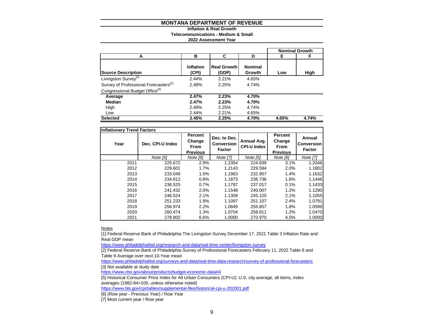#### **Inflation & Real Growth**

**Telecommunications - Medium & Small**

#### **2022 Assessment Year**

|                                                   |                    |                             |                          |       | <b>Nominal Growth</b> |
|---------------------------------------------------|--------------------|-----------------------------|--------------------------|-------|-----------------------|
| A                                                 | в                  | C                           | D                        | Е     | F                     |
| <b>Source Description</b>                         | Inflation<br>(CPI) | <b>Real Growth</b><br>(GDP) | <b>Nominal</b><br>Growth | Low   | High                  |
| Livingston Survey <sup>[1]</sup>                  | 2.44%              | 2.21%                       | 4.65%                    |       |                       |
| Survey of Professional Forecasters <sup>[2]</sup> | 2.49%              | 2.25%                       | 4.74%                    |       |                       |
| Congressional Budget Office <sup>[3]</sup>        |                    |                             |                          |       |                       |
| Average                                           | 2.47%              | 2.23%                       | 4.70%                    |       |                       |
| Median                                            | 2.47%              | 2.23%                       | 4.70%                    |       |                       |
| High                                              | 2.49%              | 2.25%                       | 4.74%                    |       |                       |
| Low                                               | 2.44%              | 2.21%                       | 4.65%                    |       |                       |
| <b>Selected</b>                                   | 2.45%              | 2.25%                       | 4.70%                    | 4.65% | 4.74%                 |

| <b>Inflationary Trend Factors</b> |                  |                                                            |                                                    |                                   |                                                     |                                              |
|-----------------------------------|------------------|------------------------------------------------------------|----------------------------------------------------|-----------------------------------|-----------------------------------------------------|----------------------------------------------|
| Year                              | Dec. CPI-U Index | <b>Percent</b><br>Change<br><b>From</b><br><b>Previous</b> | Dec. to Dec.<br><b>Conversion</b><br><b>Factor</b> | Annual Avg.<br><b>CPI-U Index</b> | Percent<br>Change<br><b>From</b><br><b>Previous</b> | Annual<br><b>Conversion</b><br><b>Factor</b> |
|                                   | Note [5]         | Note [6]                                                   | <b>Note [7]</b>                                    | Note [5]                          | Note [6]                                            | <b>Note [7]</b>                              |
| 2011                              | 225.672          | 2.9%                                                       | 1.2354                                             | 224.939                           | 3.1%                                                | 1.2046                                       |
| 2012                              | 229.601          | 1.7%                                                       | 1.2143                                             | 229.594                           | 2.0%                                                | 1.1802                                       |
| 2013                              | 233.049          | 1.5%                                                       | 1.1963                                             | 232.957                           | 1.4%                                                | 1.1632                                       |
| 2014                              | 234.812          | 0.8%                                                       | 1.1873                                             | 236.736                           | 1.6%                                                | 1.1446                                       |
| 2015                              | 236.525          | 0.7%                                                       | 1.1787                                             | 237.017                           | 0.1%                                                | 1.1433                                       |
| 2016                              | 241.432          | 2.0%                                                       | 1.1548                                             | 240.007                           | 1.2%                                                | 1.1290                                       |
| 2017                              | 246.524          | 2.1%                                                       | 1.1309                                             | 245.120                           | 2.1%                                                | 1.1055                                       |
| 2018                              | 251.233          | 1.9%                                                       | 1.1097                                             | 251.107                           | 2.4%                                                | 1.0791                                       |
| 2019                              | 256.974          | 2.2%                                                       | 1.0849                                             | 255.657                           | 1.8%                                                | 1.0599                                       |
| 2020                              | 260.474          | 1.3%                                                       | 1.0704                                             | 258.811                           | 1.2%                                                | 1.0470                                       |
| 2021                              | 278.802          | 6.6%                                                       | 1.0000                                             | 270.970                           | 4.5%                                                | 1.0000                                       |

**Notes** 

[1] Federal Reserve Bank of Philadelphia The Livingston Survey December 17, 2021 Table 3 Inflation Rate and Real GDP mean

<https://www.philadelphiafed.org/research-and-data/real-time-center/livingston-survey>

[2] Federal Reserve Bank of Philadelphia Survey of Professional Forecasters February 11, 2022 Table 8 and Table 9 Average over next 10-Year mean

<https://www.philadelphiafed.org/surveys-and-data/real-time-data-research/survey-of-professional-forecasters> [3] Not available at study date

<https://www.cbo.gov/about/products/budget-economic-data#4>

[5] Historical Consumer Price Index for All Urban Consumers (CPI-U): U.S. city average, all items, index averages (1982-84=100, unless otherwise noted)

<https://www.bls.gov/cpi/tables/supplemental-files/historical-cpi-u-202001.pdf>

[6] (Row year - Previous Year) / Row Year

[7] Most current year / Row year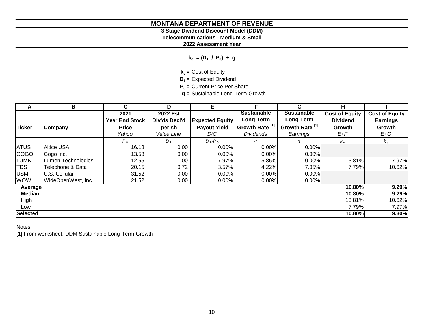# **3 Stage Dividend Discount Model (DDM)**

**Telecommunications - Medium & Small**

**2022 Assessment Year**

**ke = (D<sup>1</sup> / P<sup>0</sup> ) + g**

**ke =** Cost of Equity

**D1 =** Expected Dividend

**P0 =** Current Price Per Share

**g =** Sustainable Long-Term Growth

| A               | В                  | C.                    | D             | Е                      | F.                         | G                          | н                     |                       |
|-----------------|--------------------|-----------------------|---------------|------------------------|----------------------------|----------------------------|-----------------------|-----------------------|
|                 |                    | 2021                  | 2022 Est      |                        | <b>Sustainable</b>         | <b>Sustainable</b>         | <b>Cost of Equity</b> | <b>Cost of Equity</b> |
|                 |                    | <b>Year End Stock</b> | Div'ds Decl'd | <b>Expected Equity</b> | Long-Term                  | Long-Term                  | <b>Dividend</b>       | <b>Earnings</b>       |
| <b>Ticker</b>   | <b>Company</b>     | <b>Price</b>          | per sh        | <b>Payout Yield</b>    | Growth Rate <sup>[1]</sup> | Growth Rate <sup>[1]</sup> | Growth                | Growth                |
|                 |                    | Yahoo                 | Value Line    | D/C                    | <b>Dividends</b>           | Earnings                   | $E+F$                 | $E+G$                 |
|                 |                    | $P_0$                 | $D_{1}$       | $D_1/P_0$              | g                          | g                          | $k_e$                 | $k_e$                 |
| <b>ATUS</b>     | <b>Altice USA</b>  | 16.18                 | 0.00          | 0.00%                  | 0.00%                      | 0.00%                      |                       |                       |
| <b>GOGO</b>     | Gogo Inc.          | 13.53                 | 0.00          | 0.00%                  | 0.00%                      | 0.00%                      |                       |                       |
| <b>LUMN</b>     | Lumen Technologies | 12.55                 | 1.00          | 7.97%                  | 5.85%                      | 0.00%                      | 13.81%                | 7.97%                 |
| <b>TDS</b>      | Telephone & Data   | 20.15                 | 0.72          | 3.57%                  | 4.22%                      | 7.05%                      | 7.79%                 | 10.62%                |
| <b>USM</b>      | U.S. Cellular      | 31.52                 | 0.00          | 0.00%                  | 0.00%                      | 0.00%                      |                       |                       |
| <b>WOW</b>      | WideOpenWest, Inc. | 21.52                 | 0.00          | 0.00%                  | 0.00%                      | $0.00\%$                   |                       |                       |
| Average         |                    |                       |               |                        |                            |                            | 10.80%                | 9.29%                 |
| <b>Median</b>   |                    |                       |               |                        |                            |                            | 10.80%                | 9.29%                 |
| High            |                    |                       |               |                        |                            |                            | 13.81%                | 10.62%                |
| Low             |                    |                       |               |                        |                            |                            | 7.79%                 | 7.97%                 |
| <b>Selected</b> |                    |                       |               |                        |                            |                            | 10.80%                | 9.30%                 |

# **Notes**

[1] From worksheet: DDM Sustainable Long-Term Growth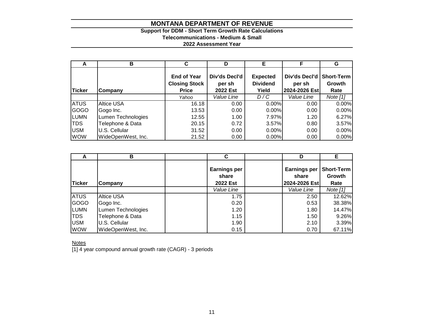# **Support for DDM - Short Term Growth Rate Calculations**

# **Telecommunications - Medium & Small**

# **2022 Assessment Year**

| A             | в                  | C                                                          | D                                   | Е                                           | E                                        | G                                   |
|---------------|--------------------|------------------------------------------------------------|-------------------------------------|---------------------------------------------|------------------------------------------|-------------------------------------|
| <b>Ticker</b> | Company            | <b>End of Year</b><br><b>Closing Stock</b><br><b>Price</b> | Div'ds Decl'd<br>per sh<br>2022 Est | <b>Expected</b><br><b>Dividend</b><br>Yield | Div'ds Decl'd<br>per sh<br>2024-2026 Est | <b>Short-Term</b><br>Growth<br>Rate |
|               |                    | Yahoo                                                      | Value Line                          | D/C                                         | Value Line                               | Note $[1]$                          |
| <b>ATUS</b>   | <b>Altice USA</b>  | 16.18                                                      | 0.00                                | 0.00%                                       | 0.00                                     | 0.00%                               |
| GOGO          | Gogo Inc.          | 13.53                                                      | 0.00                                | 0.00%                                       | 0.00                                     | 0.00%                               |
| <b>LUMN</b>   | Lumen Technologies | 12.55                                                      | 1.00                                | 7.97%                                       | 1.20                                     | 6.27%                               |
| <b>TDS</b>    | Telephone & Data   | 20.15                                                      | 0.72                                | 3.57%                                       | 0.80                                     | 3.57%                               |
| <b>USM</b>    | U.S. Cellular      | 31.52                                                      | 0.00                                | 0.00%                                       | 0.00                                     | 0.00%                               |
| <b>WOW</b>    | WideOpenWest, Inc. | 21.52                                                      | 0.00                                | $0.00\%$                                    | 0.00                                     | 0.00%                               |

| A           | в                  | C                                        | D                                             | Е                                   |
|-------------|--------------------|------------------------------------------|-----------------------------------------------|-------------------------------------|
| Ticker      | <b>Company</b>     | <b>Earnings per</b><br>share<br>2022 Est | <b>Earnings per</b><br>share<br>2024-2026 Est | <b>Short-Term</b><br>Growth<br>Rate |
|             |                    | Value Line                               | Value Line                                    | Note $[1]$                          |
| <b>ATUS</b> | <b>Altice USA</b>  | 1.75                                     | 2.50                                          | 12.62%                              |
| GOGO        | Gogo Inc.          | 0.20                                     | 0.53                                          | 38.38%                              |
| <b>LUMN</b> | Lumen Technologies | 1.20                                     | 1.80                                          | 14.47%                              |
| <b>TDS</b>  | Telephone & Data   | 1.15                                     | 1.50                                          | 9.26%                               |
| <b>USM</b>  | U.S. Cellular      | 1.90                                     | 2.10                                          | 3.39%                               |
| <b>WOW</b>  | WideOpenWest, Inc. | 0.15                                     | 0.70                                          | 67.11%                              |

**Notes** 

[1] 4 year compound annual growth rate (CAGR) - 3 periods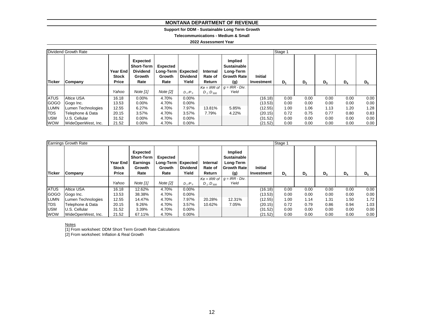#### **Support for DDM - Sustainable Long Term Growth**

**Telecommunications - Medium & Small**

#### **2022 Assessment Year**

|             | Dividend Growth Rate |       | Stage 1                                                                                      |                                                           |                          |                               |                                                                         |                              |       |                |       |       |       |
|-------------|----------------------|-------|----------------------------------------------------------------------------------------------|-----------------------------------------------------------|--------------------------|-------------------------------|-------------------------------------------------------------------------|------------------------------|-------|----------------|-------|-------|-------|
| Ticker      | Company              |       | Expected<br><b>Short-Term</b><br><b>Dividend</b><br><b>Year End</b><br><b>Growth</b><br>Rate | <b>Expected</b><br>Long-Term   Expected<br>Growth<br>Rate | <b>Dividend</b><br>Yield | Internal<br>Rate of<br>Return | Implied<br><b>Sustainable</b><br>Long-Term<br><b>Growth Rate</b><br>(g) | <b>Initial</b><br>Investment | $D_1$ | D <sub>2</sub> | $D_3$ | $D_4$ | $D_5$ |
|             |                      | Yahoo | Note [1]                                                                                     | Note $[2]$                                                | $D_1/P_0$                | $D_1$ : $D_{500}$             | $Ke = IRR$ of $g = IRR - Div.$<br>Yield                                 |                              |       |                |       |       |       |
| <b>ATUS</b> | <b>Altice USA</b>    | 16.18 | $0.00\%$                                                                                     | 4.70%                                                     | 0.00%                    |                               |                                                                         | (16.18)                      | 0.00  | 0.00           | 0.00  | 0.00  | 0.00  |
| <b>GOGO</b> | Gogo Inc.            | 13.53 | $0.00\%$                                                                                     | 4.70%                                                     | 0.00%                    |                               |                                                                         | (13.53)                      | 0.00  | 0.00           | 0.00  | 0.00  | 0.00  |
| <b>LUMN</b> | Lumen Technologies   | 12.55 | 6.27%                                                                                        | 4.70%                                                     | 7.97%                    | 13.81%                        | 5.85%                                                                   | (12.55)                      | 1.00  | 1.06           | 1.13  | 1.20  | 1.28  |
| <b>TDS</b>  | Telephone & Data     | 20.15 | 3.57%                                                                                        | 4.70%                                                     | 3.57%                    | 7.79%                         | 4.22%                                                                   | (20.15)                      | 0.72  | 0.75           | 0.77  | 0.80  | 0.83  |
| <b>USM</b>  | U.S. Cellular        | 31.52 | $0.00\%$                                                                                     | 4.70%                                                     | $0.00\%$                 |                               |                                                                         | (31.52)                      | 0.00  | 0.00           | 0.00  | 0.00  | 0.00  |
| <b>WOW</b>  | WideOpenWest, Inc.   | 21.52 | $0.00\%$                                                                                     | 4.70%                                                     | 0.00%                    |                               |                                                                         | (21.52)                      | 0.00  | 0.00           | 0.00  | 0.00  | 0.00  |

|               | Earnings Growth Rate | Stage 1                                  |                                                                           |                                                           |                          |                               |                                                                          |                              |       |                |       |       |       |
|---------------|----------------------|------------------------------------------|---------------------------------------------------------------------------|-----------------------------------------------------------|--------------------------|-------------------------------|--------------------------------------------------------------------------|------------------------------|-------|----------------|-------|-------|-------|
| <b>Ticker</b> | Company              | <b>Year End</b><br><b>Stock</b><br>Price | Expected<br><b>Short-Term</b><br><b>Earnings</b><br><b>Growth</b><br>Rate | <b>Expected</b><br>Long-Term   Expected<br>Growth<br>Rate | <b>Dividend</b><br>Yield | Internal<br>Rate of<br>Return | Implied<br><b>Sustainable</b><br>Long-Term<br><b>Growth Ratel</b><br>(g) | <b>Initial</b><br>Investment | $D_1$ | D <sub>2</sub> | $D_3$ | $D_4$ | $D_5$ |
|               |                      | Yahoo                                    | Note [1]                                                                  | Note [2]                                                  | $D_1/P_0$                | $D_1$ : $D_{500}$             | $Ke = IRR$ of $g = IRR - Div.$<br>Yield                                  |                              |       |                |       |       |       |
| <b>ATUS</b>   | <b>Altice USA</b>    | 16.18                                    | 12.62%                                                                    | 4.70%                                                     | $0.00\%$                 |                               |                                                                          | (16.18)                      | 0.00  | 0.00           | 0.00  | 0.00  | 0.00  |
| GOGO          | Gogo Inc.            | 13.53                                    | 38.38%                                                                    | 4.70%                                                     | $0.00\%$                 |                               |                                                                          | (13.53)                      | 0.00  | 0.00           | 0.00  | 0.00  | 0.00  |
| <b>LUMN</b>   | Lumen Technologies   | 12.55                                    | 14.47%                                                                    | 4.70%                                                     | 7.97%                    | 20.28%                        | 12.31%                                                                   | (12.55)                      | 1.00  | 1.14           | 1.31  | 1.50  | 1.72  |
| TDS           | Telephone & Data     | 20.15                                    | 9.26%                                                                     | 4.70%                                                     | 3.57%                    | 10.62%                        | 7.05%                                                                    | (20.15)                      | 0.72  | 0.79           | 0.86  | 0.94  | 1.03  |
| <b>USM</b>    | U.S. Cellular        | 31.52                                    | 3.39%                                                                     | 4.70%                                                     | $0.00\%$                 |                               |                                                                          | (31.52)                      | 0.00  | 0.00           | 0.00  | 0.00  | 0.00  |
| <b>WOW</b>    | WideOpenWest, Inc.   | 21.52                                    | 67.11%                                                                    | 4.70%                                                     | $0.00\%$                 |                               |                                                                          | (21.52)                      | 0.00  | 0.00           | 0.00  | 0.00  | 0.00  |

Notes

[1] From worksheet: DDM Short Term Growth Rate Calculations [2] From worksheet: Inflation & Real Growth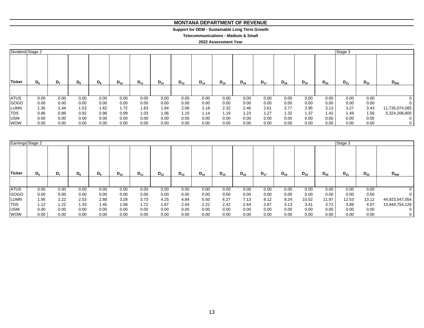#### **MONTANA DEPARTMENT OF REVENUE MONTANA DEPARTMENT OF REVENUE**

#### **Support for DDM - Sustainable Long Term Growth Support for DDM - Sustainable Long Term Growth**

**Telecommunications - Medium & Small Telecommunications - Medium & Small**

| Dividend Stage 2 |         |                |       |         |          |          |          |          |          |          |          |          |          |          |          | Stage 3  |          |                |
|------------------|---------|----------------|-------|---------|----------|----------|----------|----------|----------|----------|----------|----------|----------|----------|----------|----------|----------|----------------|
| <b>Ticker</b>    | $D_{6}$ | D <sub>7</sub> | $D_8$ | $D_{9}$ | $D_{10}$ | $D_{11}$ | $D_{12}$ | $D_{13}$ | $D_{14}$ | $D_{15}$ | $D_{16}$ | $D_{17}$ | $D_{18}$ | $D_{19}$ | $D_{20}$ | $D_{21}$ | $D_{22}$ | $D_{500}$      |
|                  |         |                |       |         |          |          |          |          |          |          |          |          |          |          |          |          |          |                |
| <b>ATUS</b>      | 0.00    | 0.00           | 0.00  | 0.00    | 0.00     | 0.00     | 0.00     | 0.00     | 0.00     | 0.00     | 0.00     | 0.00     | 0.00     | 0.00     | 0.00     | 0.00     | 0.00     |                |
| <b>GOGO</b>      | 0.00    | 0.00           | 0.00  | 0.00    | 0.00     | 0.00     | 0.00     | 0.00     | 0.00     | 0.00     | 0.00     | 0.00     | 0.00     | 0.00     | 0.00     | 0.00     | 0.00     |                |
| <b>LUMN</b>      | 1.35    | 1.44           | 1.53  | 1.62    | 1.72     | 1.83     | 1.94     | 2.06     | 2.18     | 2.32     | 2.46     | 2.61     | 2.77     | 2.95     | 3.13     | 3.27     | 3.43     | 11,735,074,085 |
| <b>TDS</b>       | 0.86    | 0.89           | 0.92  | 0.96    | 0.99     | 1.03     | 1.06     | 1.10     | 1.14     | 1.19     | 1.23     | 1.27     | 1.32     | 1.37     | $1.42 -$ | 1.49     | 1.56     | 5,324,208,805  |
| <b>USM</b>       | 0.00    | 0.00           | 0.00  | 0.00    | 0.00     | 0.00     | 0.00     | 0.00     | 0.00     | 0.00     | 0.00     | 0.00     | 0.00     | 0.00     | 0.00     | 0.00     | 0.00     | 0              |
| <b>WOW</b>       | 0.00    | 0.00           | 0.00  | 0.00    | 0.00     | 0.00     | 0.00     | 0.00     | 0.00     | 0.00     | 0.00     | 0.00     | 0.00     | 0.00     | 0.00     | 0.00     | 0.00     |                |

|             | Earnings Stage 2 |                |       |       |          |          |          |          |          |          |          |          |          |          | Stage 3  |          |          |                |
|-------------|------------------|----------------|-------|-------|----------|----------|----------|----------|----------|----------|----------|----------|----------|----------|----------|----------|----------|----------------|
| Ticker      | $D_6$            | D <sub>7</sub> | $D_8$ | $D_9$ | $D_{10}$ | $D_{11}$ | $D_{12}$ | $D_{13}$ | $D_{14}$ | $D_{15}$ | $D_{16}$ | $D_{17}$ | $D_{18}$ | $D_{19}$ | $D_{20}$ | $D_{21}$ | $D_{22}$ | $D_{500}$      |
|             |                  |                |       |       |          |          |          |          |          |          |          |          |          |          |          |          |          |                |
| <b>ATUS</b> | 0.00             | 0.00           | 0.00  | 0.00  | 0.00     | 0.00     | 0.00     | 0.00     | 0.00     | 0.00     | 0.00     | 0.00     | 0.00     | 0.00     | 0.00     | 0.00     | 0.00     | 0              |
| GOGO        | 0.00             | 0.00           | 0.00  | 0.00  | 0.00     | 0.00     | 0.00     | 0.00     | 0.00     | 0.00     | 0.00     | 0.00     | 0.00     | 0.00     | 0.00     | 0.00     | 0.00     |                |
| <b>LUMN</b> | 1.95             | 2.22           | 2.53  | 2.88  | 3.28     | 3.73     | 4.25     | 4.84     | 5.50     | 6.27     | 7.13     | 8.12     | 9.24     | 10.52    | 11.97    | 12.53    | 13.12    | 44,923,547,054 |
| <b>TDS</b>  | 1.12             | 1.22           | 1.33  | 1.45  | 1.58     | 1.72     | 1.87     | 2.04     | 2.22     | 2.42     | 2.64     | 2.87     | 3.13     | 3.41     | 3.72     | 3.89     | 4.07     | 13,944,754,126 |
| <b>USM</b>  | 0.00             | 0.00           | 0.00  | 0.00  | 0.00     | 0.00     | 0.00     | 0.00     | 0.00     | 0.00     | 0.00     | 0.00     | 0.00     | 0.00     | 0.00     | 0.00     | 0.00     | 0              |
| <b>WOW</b>  | 0.00             | 0.00           | 0.00  | 0.00  | 0.00     | 0.00     | 0.00     | 0.00     | 0.00     | 0.00     | 0.00     | 0.00     | 0.00     | 0.00     | 0.00     | 0.00     | 0.00     | $\mathbf{0}$   |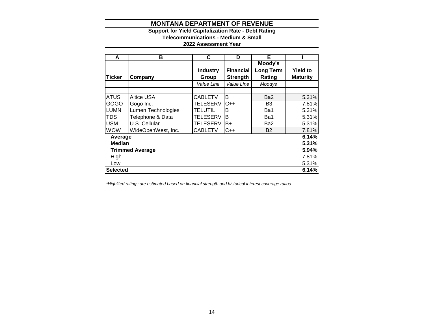# **Support for Yield Capitalization Rate - Debt Rating**

**Telecommunications - Medium & Small**

# **2022 Assessment Year**

| A               | В                      | C               | D                | Е                |                 |
|-----------------|------------------------|-----------------|------------------|------------------|-----------------|
|                 |                        |                 |                  | Moody's          |                 |
|                 |                        | <b>Industry</b> | <b>Financial</b> | <b>Long Term</b> | <b>Yield to</b> |
| <b>Ticker</b>   | Company                | Group           | <b>Strength</b>  | Rating           | <b>Maturity</b> |
|                 |                        | Value Line      | Value Line       | Moodys           |                 |
|                 |                        |                 |                  |                  |                 |
| <b>ATUS</b>     | Altice USA             | <b>CABLETV</b>  | B                | Ba <sub>2</sub>  | 5.31%           |
| GOGO            | Gogo Inc.              | <b>TELESERV</b> | $C++$            | B <sub>3</sub>   | 7.81%           |
| LUMN            | Lumen Technologies     | <b>TELUTIL</b>  | в                | Ba1              | 5.31%           |
| TDS             | Telephone & Data       | <b>TELESERV</b> | B                | Ba1              | 5.31%           |
| USM             | U.S. Cellular          | <b>TELESERV</b> | B+               | Ba2              | 5.31%           |
| <b>WOW</b>      | WideOpenWest, Inc.     | <b>CABLETV</b>  | C++              | <b>B2</b>        | 7.81%           |
| Average         |                        |                 |                  |                  | 6.14%           |
| <b>Median</b>   |                        |                 |                  |                  | 5.31%           |
|                 | <b>Trimmed Average</b> |                 |                  |                  | 5.94%           |
| High            |                        |                 |                  |                  | 7.81%           |
| Low             |                        |                 |                  |                  | 5.31%           |
| <b>Selected</b> |                        |                 |                  |                  | 6.14%           |

*\*Highlited ratings are estimated based on financial strength and historical interest coverage ratios*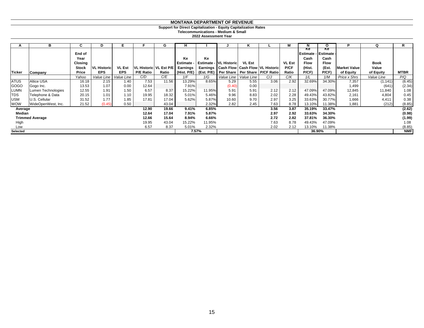#### **Support for Direct Capitalization - Equity Capitalization Rates**

#### **Telecommunications - Medium & Small**

|               | в                      | C              | D                  | Е             |                  | G                        | н          |        |                        | n.            |                                                               |               |                                          |             | D                   | Q           | R           |
|---------------|------------------------|----------------|--------------------|---------------|------------------|--------------------------|------------|--------|------------------------|---------------|---------------------------------------------------------------|---------------|------------------------------------------|-------------|---------------------|-------------|-------------|
|               |                        | End of<br>Year |                    |               |                  |                          | Ke         | Ke     |                        |               |                                                               |               | Ke<br><b>Estimate - Estimate</b><br>Cash | Ke<br>Cash  |                     |             |             |
|               |                        | Closing        |                    |               |                  |                          | Estimate - |        | Estimate - VL Historic | <b>VL Est</b> |                                                               | <b>VL Est</b> | <b>Flow</b>                              | <b>Flow</b> |                     | <b>Book</b> |             |
|               |                        | <b>Stock</b>   | <b>VL Historic</b> | <b>VL Est</b> |                  | VL Historic   VL Est P/E | Earnings   |        |                        |               | Earnings   Cash Flow   Cash Flow   VL Historic                | P/CF          | (Hist.                                   | (Est.       | <b>Market Value</b> | Value       |             |
| <b>Ticker</b> | Company                | Price          | <b>EPS</b>         | <b>EPS</b>    | <b>P/E Ratio</b> | Ratio                    |            |        |                        |               | (Hist. P/E)   (Est. P/E)   Per Share   Per Share   P/CF Ratio | Ratio         | P/CF)                                    | $P$ / $CF$  | of Equity           | of Equity   | <b>MTBR</b> |
|               |                        | Yahoo          | Value Line         | Value Line    | C/D              | C/E                      | 1/F        | 1/G    | Value Line             | Value Line    | C/J                                                           | C/K           | 1/L                                      | 1/M         | Price x Shrs        | Value Line  | P/Q         |
| <b>ATUS</b>   | <b>Altice USA</b>      | 16.18          | 2.15               | 1.40          | 7.53             | 11.56                    | 13.29%     | 8.65%  | 5.29                   | 5.55          | 3.06                                                          | 2.92          | 32.69%                                   | 34.30%      | 7,357               | (1, 141)    | (6.45)      |
| <b>GOGO</b>   | Gogo Inc.              | 13.53          | 1.07               | 0.00          | 12.64            |                          | 7.91%      |        | (0.40)                 | 0.00          |                                                               |               |                                          |             | 1,499               | (641)       | (2.34)      |
| LUMN          | Lumen Technologies     | 12.55          | 1.91               | 1.50          | 6.57             | 8.37                     | 15.22%     | 11.95% | 5.91                   | 5.91          | 2.12                                                          | 2.12          | 47.09%                                   | 47.09%      | 12,845              | 11,840      | 1.08        |
| <b>TDS</b>    | Telephone & Data       | 20.15          | 1.01               | 1.10          | 19.95            | 18.32                    | 5.01%      | 5.46%  | 9.96                   | 8.83          | 2.02                                                          | 2.28          | 49.43%                                   | 43.82%      | 2,161               | 4,804       | 0.45        |
| <b>USM</b>    | U.S. Cellular          | 31.52          | 1.77               | 1.85          | 17.81            | 17.04                    | 5.62%      | 5.87%  | 10.60                  | 9.70          | 2.97                                                          | 3.25          | 33.63%                                   | 30.77%      | 1,666               | 4,411       | 0.38        |
| <b>WOW</b>    | WideOpenWest, Inc.     | 21.52          | (0.45)             | 0.50          |                  | 43.04                    |            | 2.32%  | 2.82                   | 2.45          | 7.63                                                          | 8.78          | 13.10%                                   | 11.38%      | 1,881               | (212)       | (8.85)      |
| Average       |                        |                |                    |               | 12.90            | 19.66                    | 9.41%      | 6.85%  |                        |               | 3.56                                                          | 3.87          | 35.19%                                   | 33.47%      |                     |             | (2.62)      |
| Median        |                        |                |                    |               | 12.64            | 17.04                    | 7.91%      | 5.87%  |                        |               | 2.97                                                          | 2.92          | 33.63%                                   | 34.30%      |                     |             | (0.98)      |
|               | <b>Trimmed Average</b> |                |                    |               | 12.66            | 15.64                    | 8.94%      | 6.66%  |                        |               | 2.72                                                          | 2.82          | 37.81%                                   | 36.30%      |                     |             | (1.99)      |
| High          |                        |                |                    |               | 19.95            | 43.04                    | 15.22%     | 11.95% |                        |               | 7.63                                                          | 8.78          | 49.43%                                   | 47.09%      |                     |             | 1.08        |
| Low           |                        |                |                    |               | 6.57             | 8.37                     | 5.01%      | 2.32%  |                        |               | 2.02                                                          | 2.12          | 13.10%                                   | 11.38%      |                     |             | (8.85)      |
| Selected      |                        |                |                    |               |                  |                          |            | 7.57%  |                        |               |                                                               |               |                                          | 36.90%      |                     |             | <b>NMF</b>  |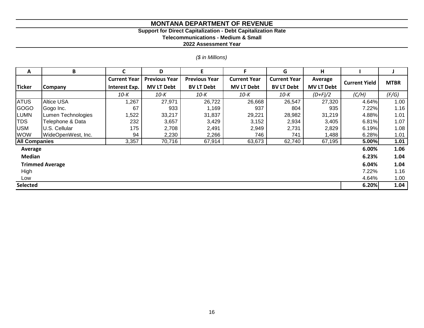#### **Support for Direct Capitalization - Debt Capitalization Rate**

**Telecommunications - Medium & Small**

**2022 Assessment Year**

# *(\$ in Millions)*

| A                      | B                  |                     | D                    | E.                   | F                   | G                   | н                 |                      |             |
|------------------------|--------------------|---------------------|----------------------|----------------------|---------------------|---------------------|-------------------|----------------------|-------------|
|                        |                    | <b>Current Year</b> | <b>Previous Year</b> | <b>Previous Year</b> | <b>Current Year</b> | <b>Current Year</b> | Average           | <b>Current Yield</b> | <b>MTBR</b> |
| <b>Ticker</b>          | <b>Company</b>     | Interest Exp.       | <b>MV LT Debt</b>    | <b>BV LT Debt</b>    | <b>MV LT Debt</b>   | <b>BV LT Debt</b>   | <b>MV LT Debt</b> |                      |             |
|                        |                    | 10-K                | $10-K$               | 10-К                 | $10-K$              | 10-K                | $(D+F)/2$         | (C/H)                | (F/G)       |
| <b>ATUS</b>            | <b>Altice USA</b>  | 1,267               | 27,971               | 26,722               | 26,668              | 26,547              | 27,320            | 4.64%                | 1.00        |
| GOGO                   | Gogo Inc.          | 67                  | 933                  | 1,169                | 937                 | 804                 | 935               | 7.22%                | 1.16        |
| <b>LUMN</b>            | Lumen Technologies | 1,522               | 33,217               | 31,837               | 29,221              | 28,982              | 31,219            | 4.88%                | 1.01        |
| <b>TDS</b>             | Telephone & Data   | 232                 | 3,657                | 3,429                | 3,152               | 2,934               | 3,405             | 6.81%                | 1.07        |
| <b>USM</b>             | U.S. Cellular      | 175                 | 2,708                | 2,491                | 2,949               | 2,731               | 2,829             | 6.19%                | 1.08        |
| <b>WOW</b>             | WideOpenWest, Inc. | 94                  | 2,230                | 2,266                | 746                 | 741                 | 1,488             | 6.28%                | 1.01        |
| <b>All Companies</b>   |                    | 3,357               | 70,716               | 67,914               | 63,673              | 62,740              | 67,195            | 5.00%                | 1.01        |
| Average                |                    |                     |                      |                      |                     |                     | 6.00%             | 1.06                 |             |
| <b>Median</b>          |                    |                     |                      |                      |                     |                     |                   | 6.23%                | 1.04        |
| <b>Trimmed Average</b> |                    |                     |                      |                      |                     |                     |                   | 6.04%                | 1.04        |
| High                   |                    |                     |                      |                      |                     |                     | 7.22%             | 1.16                 |             |
| Low                    |                    |                     |                      |                      |                     |                     |                   | 4.64%                | 1.00        |
| <b>Selected</b>        |                    |                     |                      |                      |                     |                     |                   | 6.20%                | 1.04        |